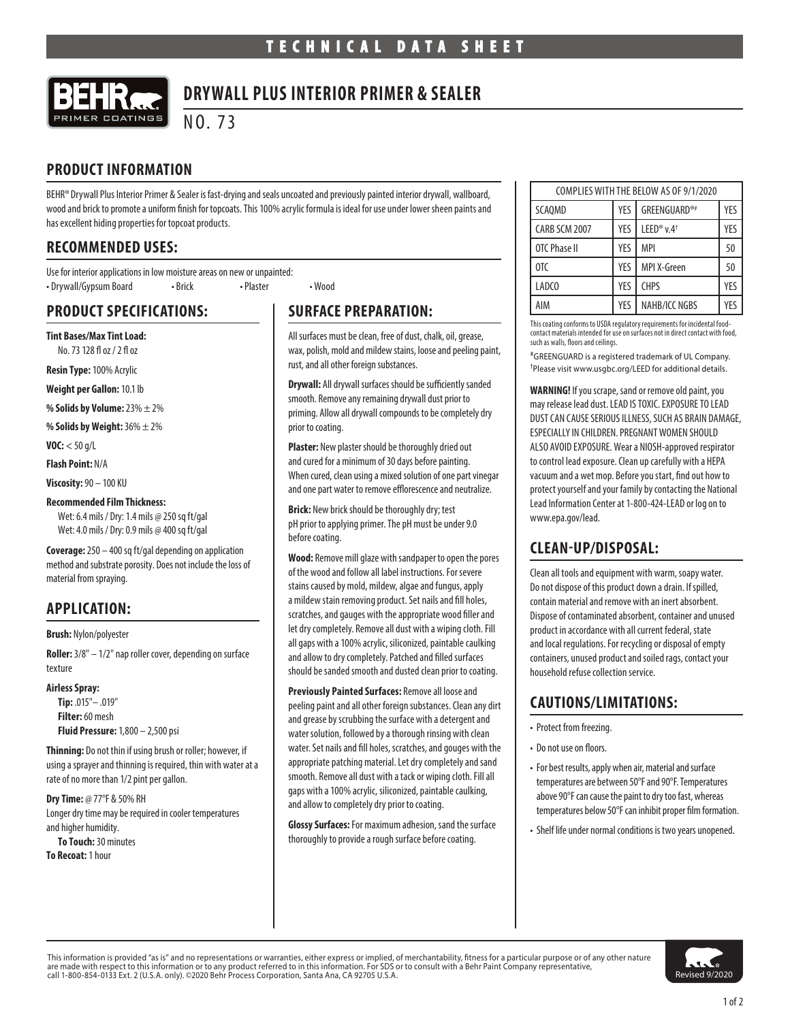

# **DRYWALL PLUS INTERIOR PRIMER & SEALER**

NO. 73

# **PRODUCT INFORMATION**

BEHR® Drywall Plus Interior Primer & Sealer is fast-drying and seals uncoated and previously painted interior drywall, wallboard, wood and brick to promote a uniform finish for topcoats. This 100% acrylic formula is ideal for use under lower sheen paints and has excellent hiding properties for topcoat products.

### **RECOMMENDED USES:**

Use for interior applications in low moisture areas on new or unpainted: • Drywall/Gypsum Board • Brick • Plaster • Wood

# **PRODUCT SPECIFICATIONS:**

**Tint Bases/Max Tint Load:** No. 73 128 fl oz / 2 fl oz

**Resin Type:** 100% Acrylic

**Weight per Gallon:** 10.1 lb

**% Solids by Volume:** 23% ± 2%

**% Solids by Weight:** 36% ± 2%

**VOC:** < 50 g/L

**Flash Point:** N/A

**Viscosity:** 90 – 100 KU

#### **Recommended Film Thickness:**

Wet: 6.4 mils / Dry: 1.4 mils @ 250 sq ft/gal Wet: 4.0 mils / Dry: 0.9 mils @ 400 sq ft/gal

**Coverage:** 250 – 400 sq ft/gal depending on application method and substrate porosity. Does not include the loss of material from spraying.

# **APPLICATION:**

**Brush:** Nylon/polyester

**Roller:** 3/8" – 1/2" nap roller cover, depending on surface texture

**Airless Spray:**

**Tip:** .015"– .019" **Filter:** 60 mesh **Fluid Pressure:** 1,800 – 2,500 psi

**Thinning:** Do not thin if using brush or roller; however, if using a sprayer and thinning is required, thin with water at a rate of no more than 1/2 pint per gallon.

**Dry Time:** @ 77°F & 50% RH Longer dry time may be required in cooler temperatures and higher humidity. **To Touch:** 30 minutes

**To Recoat:** 1 hour

# **SURFACE PREPARATION:**

All surfaces must be clean, free of dust, chalk, oil, grease, wax, polish, mold and mildew stains, loose and peeling paint, rust, and all other foreign substances.

**Drywall:** All drywall surfaces should be sufficiently sanded smooth. Remove any remaining drywall dust prior to priming. Allow all drywall compounds to be completely dry prior to coating.

**Plaster:** New plaster should be thoroughly dried out and cured for a minimum of 30 days before painting. When cured, clean using a mixed solution of one part vinegar and one part water to remove efflorescence and neutralize.

**Brick:** New brick should be thoroughly dry; test pH prior to applying primer. The pH must be under 9.0 before coating.

**Wood:** Remove mill glaze with sandpaper to open the pores of the wood and follow all label instructions. For severe stains caused by mold, mildew, algae and fungus, apply a mildew stain removing product. Set nails and fill holes, scratches, and gauges with the appropriate wood filler and let dry completely. Remove all dust with a wiping cloth. Fill all gaps with a 100% acrylic, siliconized, paintable caulking and allow to dry completely. Patched and filled surfaces should be sanded smooth and dusted clean prior to coating.

**Previously Painted Surfaces:** Remove all loose and peeling paint and all other foreign substances. Clean any dirt and grease by scrubbing the surface with a detergent and water solution, followed by a thorough rinsing with clean water. Set nails and fill holes, scratches, and gouges with the appropriate patching material. Let dry completely and sand smooth. Remove all dust with a tack or wiping cloth. Fill all gaps with a 100% acrylic, siliconized, paintable caulking, and allow to completely dry prior to coating.

**Glossy Surfaces:** For maximum adhesion, sand the surface thoroughly to provide a rough surface before coating.

| COMPLIES WITH THE BELOW AS OF 9/1/2020 |     |                                    |     |
|----------------------------------------|-----|------------------------------------|-----|
| <b>SCAOMD</b>                          | YES | <b>GREENGUARD®#</b>                | YES |
| CARB SCM 2007                          | YES | LEED <sup>®</sup> v.4 <sup>+</sup> | YES |
| OTC Phase II                           | YES | <b>MPI</b>                         | 50  |
| OTC                                    | YES | MPI X-Green                        | 50  |
| LADCO                                  | YES | <b>CHPS</b>                        | YFS |
| AIM                                    | YES | NAHB/ICC NGBS                      | YFS |

This coating conforms to USDA regulatory requirements for incidental foodcontact materials intended for use on surfaces not in direct contact with food, such as walls, floors and ceilings.

# GREENGUARD is a registered trademark of UL Company. † Please visit www.usgbc.org/LEED for additional details.

**WARNING!** If you scrape, sand or remove old paint, you may release lead dust. LEAD IS TOXIC. EXPOSURE TO LEAD DUST CAN CAUSE SERIOUS ILLNESS, SUCH AS BRAIN DAMAGE, ESPECIALLY IN CHILDREN. PREGNANT WOMEN SHOULD ALSO AVOID EXPOSURE. Wear a NIOSH-approved respirator to control lead exposure. Clean up carefully with a HEPA vacuum and a wet mop. Before you start, find out how to protect yourself and your family by contacting the National Lead Information Center at 1-800-424-LEAD or log on to www.epa.gov/lead.

# **CLEAN-UP/DISPOSAL:**

Clean all tools and equipment with warm, soapy water. Do not dispose of this product down a drain. If spilled, contain material and remove with an inert absorbent. Dispose of contaminated absorbent, container and unused product in accordance with all current federal, state and local regulations. For recycling or disposal of empty containers, unused product and soiled rags, contact your household refuse collection service.

# **CAUTIONS/LIMITATIONS:**

- Protect from freezing.
- Do not use on floors.
- For best results, apply when air, material and surface temperatures are between 50°F and 90°F. Temperatures above 90°F can cause the paint to dry too fast, whereas temperatures below 50°F can inhibit proper film formation.
- Shelf life under normal conditions is two years unopened.

This information is provided "as is" and no representations or warranties, either express or implied, of merchantability, fitness for a particular purpose or of any other nature are made with respect to this information or to any product referred to in this information. For SDS or to consult with a Behr Paint Company representative,<br>call 1-800-854-0133 Ext. 2 (U.S.A. only). ©2020 Behr Process Corp